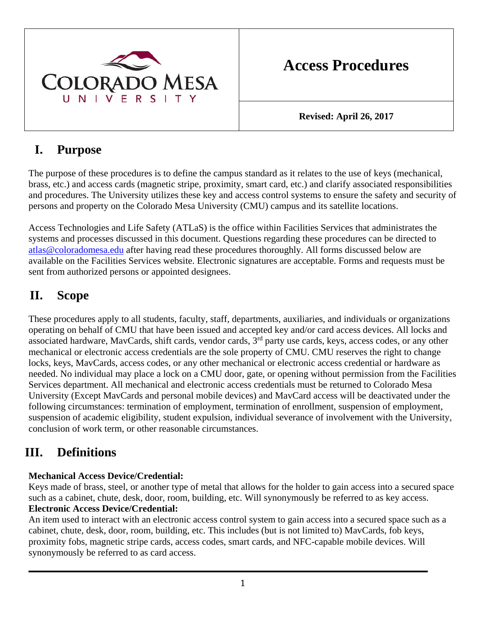

# **Access Procedures**

**Revised: April 26, 2017** 

### **I. Purpose**

The purpose of these procedures is to define the campus standard as it relates to the use of keys (mechanical, brass, etc.) and access cards (magnetic stripe, proximity, smart card, etc.) and clarify associated responsibilities and procedures. The University utilizes these key and access control systems to ensure the safety and security of persons and property on the Colorado Mesa University (CMU) campus and its satellite locations.

Access Technologies and Life Safety (ATLaS) is the office within Facilities Services that administrates the systems and processes discussed in this document. Questions regarding these procedures can be directed to atlas@coloradomesa.edu after having read these procedures thoroughly. All forms discussed below are available on the Facilities Services website. Electronic signatures are acceptable. Forms and requests must be sent from authorized persons or appointed designees.

## **II. Scope**

These procedures apply to all students, faculty, staff, departments, auxiliaries, and individuals or organizations operating on behalf of CMU that have been issued and accepted key and/or card access devices. All locks and associated hardware, MavCards, shift cards, vendor cards, 3<sup>rd</sup> party use cards, keys, access codes, or any other mechanical or electronic access credentials are the sole property of CMU. CMU reserves the right to change locks, keys, MavCards, access codes, or any other mechanical or electronic access credential or hardware as needed. No individual may place a lock on a CMU door, gate, or opening without permission from the Facilities Services department. All mechanical and electronic access credentials must be returned to Colorado Mesa University (Except MavCards and personal mobile devices) and MavCard access will be deactivated under the following circumstances: termination of employment, termination of enrollment, suspension of employment, suspension of academic eligibility, student expulsion, individual severance of involvement with the University, conclusion of work term, or other reasonable circumstances.

## **III. Definitions**

### **Mechanical Access Device/Credential:**

Keys made of brass, steel, or another type of metal that allows for the holder to gain access into a secured space such as a cabinet, chute, desk, door, room, building, etc. Will synonymously be referred to as key access. **Electronic Access Device/Credential:** 

An item used to interact with an electronic access control system to gain access into a secured space such as a cabinet, chute, desk, door, room, building, etc. This includes (but is not limited to) MavCards, fob keys, proximity fobs, magnetic stripe cards, access codes, smart cards, and NFC-capable mobile devices. Will synonymously be referred to as card access.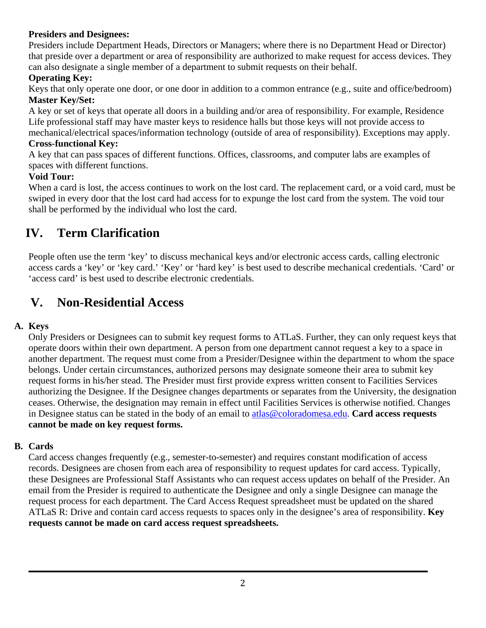### **Presiders and Designees:**

Presiders include Department Heads, Directors or Managers; where there is no Department Head or Director) that preside over a department or area of responsibility are authorized to make request for access devices. They can also designate a single member of a department to submit requests on their behalf.

### **Operating Key:**

Keys that only operate one door, or one door in addition to a common entrance (e.g., suite and office/bedroom) **Master Key/Set:** 

A key or set of keys that operate all doors in a building and/or area of responsibility. For example, Residence Life professional staff may have master keys to residence halls but those keys will not provide access to mechanical/electrical spaces/information technology (outside of area of responsibility). Exceptions may apply.

### **Cross-functional Key:**

A key that can pass spaces of different functions. Offices, classrooms, and computer labs are examples of spaces with different functions.

### **Void Tour:**

When a card is lost, the access continues to work on the lost card. The replacement card, or a void card, must be swiped in every door that the lost card had access for to expunge the lost card from the system. The void tour shall be performed by the individual who lost the card.

## **IV. Term Clarification**

People often use the term 'key' to discuss mechanical keys and/or electronic access cards, calling electronic access cards a 'key' or 'key card.' 'Key' or 'hard key' is best used to describe mechanical credentials. 'Card' or 'access card' is best used to describe electronic credentials.

### **V. Non-Residential Access**

### **A. Keys**

Only Presiders or Designees can to submit key request forms to ATLaS. Further, they can only request keys that operate doors within their own department. A person from one department cannot request a key to a space in another department. The request must come from a Presider/Designee within the department to whom the space belongs. Under certain circumstances, authorized persons may designate someone their area to submit key request forms in his/her stead. The Presider must first provide express written consent to Facilities Services authorizing the Designee. If the Designee changes departments or separates from the University, the designation ceases. Otherwise, the designation may remain in effect until Facilities Services is otherwise notified. Changes in Designee status can be stated in the body of an email to atlas@coloradomesa.edu. **Card access requests cannot be made on key request forms.** 

### **B. Cards**

Card access changes frequently (e.g., semester-to-semester) and requires constant modification of access records. Designees are chosen from each area of responsibility to request updates for card access. Typically, these Designees are Professional Staff Assistants who can request access updates on behalf of the Presider. An email from the Presider is required to authenticate the Designee and only a single Designee can manage the request process for each department. The Card Access Request spreadsheet must be updated on the shared ATLaS R: Drive and contain card access requests to spaces only in the designee's area of responsibility. **Key requests cannot be made on card access request spreadsheets.**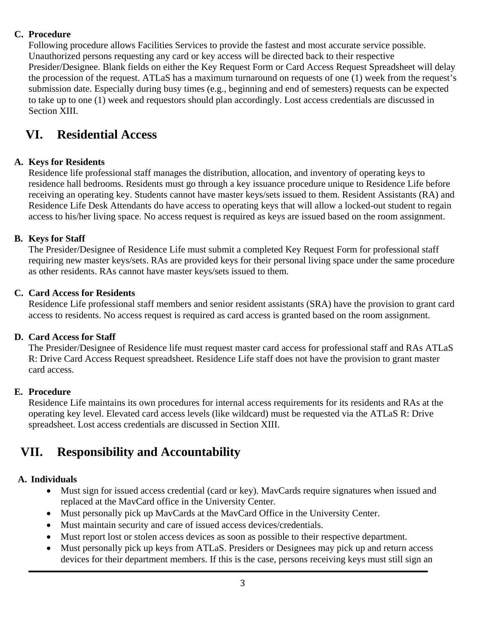#### **C. Procedure**

Following procedure allows Facilities Services to provide the fastest and most accurate service possible. Unauthorized persons requesting any card or key access will be directed back to their respective Presider/Designee. Blank fields on either the Key Request Form or Card Access Request Spreadsheet will delay the procession of the request. ATLaS has a maximum turnaround on requests of one (1) week from the request's submission date. Especially during busy times (e.g., beginning and end of semesters) requests can be expected to take up to one (1) week and requestors should plan accordingly. Lost access credentials are discussed in Section XIII.

### **VI. Residential Access**

#### **A. Keys for Residents**

Residence life professional staff manages the distribution, allocation, and inventory of operating keys to residence hall bedrooms. Residents must go through a key issuance procedure unique to Residence Life before receiving an operating key. Students cannot have master keys/sets issued to them. Resident Assistants (RA) and Residence Life Desk Attendants do have access to operating keys that will allow a locked-out student to regain access to his/her living space. No access request is required as keys are issued based on the room assignment.

#### **B. Keys for Staff**

The Presider/Designee of Residence Life must submit a completed Key Request Form for professional staff requiring new master keys/sets. RAs are provided keys for their personal living space under the same procedure as other residents. RAs cannot have master keys/sets issued to them.

#### **C. Card Access for Residents**

Residence Life professional staff members and senior resident assistants (SRA) have the provision to grant card access to residents. No access request is required as card access is granted based on the room assignment.

#### **D. Card Access for Staff**

The Presider/Designee of Residence life must request master card access for professional staff and RAs ATLaS R: Drive Card Access Request spreadsheet. Residence Life staff does not have the provision to grant master card access.

#### **E. Procedure**

Residence Life maintains its own procedures for internal access requirements for its residents and RAs at the operating key level. Elevated card access levels (like wildcard) must be requested via the ATLaS R: Drive spreadsheet. Lost access credentials are discussed in Section XIII.

### **VII. Responsibility and Accountability**

#### **A. Individuals**

- Must sign for issued access credential (card or key). MavCards require signatures when issued and replaced at the MavCard office in the University Center.
- Must personally pick up MavCards at the MavCard Office in the University Center.
- Must maintain security and care of issued access devices/credentials.
- Must report lost or stolen access devices as soon as possible to their respective department.
- Must personally pick up keys from ATLaS. Presiders or Designees may pick up and return access devices for their department members. If this is the case, persons receiving keys must still sign an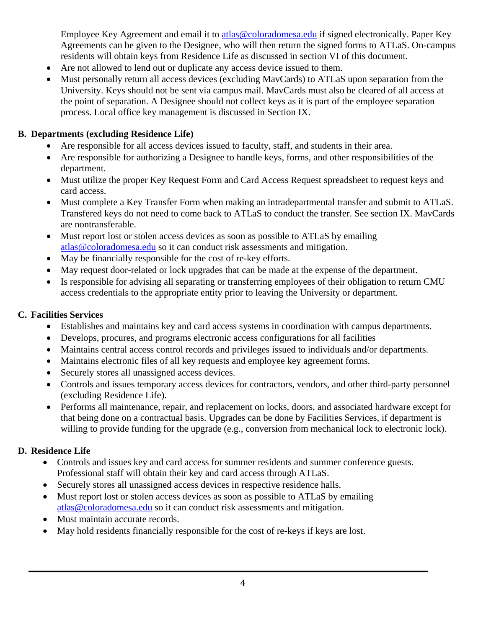Employee Key Agreement and email it to atlas@coloradomesa.edu if signed electronically. Paper Key Agreements can be given to the Designee, who will then return the signed forms to ATLaS. On-campus residents will obtain keys from Residence Life as discussed in section VI of this document.

- Are not allowed to lend out or duplicate any access device issued to them.
- Must personally return all access devices (excluding MayCards) to ATLaS upon separation from the University. Keys should not be sent via campus mail. MavCards must also be cleared of all access at the point of separation. A Designee should not collect keys as it is part of the employee separation process. Local office key management is discussed in Section IX.

#### **B. Departments (excluding Residence Life)**

- Are responsible for all access devices issued to faculty, staff, and students in their area.
- Are responsible for authorizing a Designee to handle keys, forms, and other responsibilities of the department.
- Must utilize the proper Key Request Form and Card Access Request spreadsheet to request keys and card access.
- Must complete a Key Transfer Form when making an intradepartmental transfer and submit to ATLaS. Transfered keys do not need to come back to ATLaS to conduct the transfer. See section IX. MavCards are nontransferable.
- Must report lost or stolen access devices as soon as possible to ATLaS by emailing atlas@coloradomesa.edu so it can conduct risk assessments and mitigation.
- May be financially responsible for the cost of re-key efforts.
- May request door-related or lock upgrades that can be made at the expense of the department.
- Is responsible for advising all separating or transferring employees of their obligation to return CMU access credentials to the appropriate entity prior to leaving the University or department.

#### **C. Facilities Services**

- Establishes and maintains key and card access systems in coordination with campus departments.
- Develops, procures, and programs electronic access configurations for all facilities
- Maintains central access control records and privileges issued to individuals and/or departments.
- Maintains electronic files of all key requests and employee key agreement forms.
- Securely stores all unassigned access devices.
- Controls and issues temporary access devices for contractors, vendors, and other third-party personnel (excluding Residence Life).
- Performs all maintenance, repair, and replacement on locks, doors, and associated hardware except for that being done on a contractual basis. Upgrades can be done by Facilities Services, if department is willing to provide funding for the upgrade (e.g., conversion from mechanical lock to electronic lock).

#### **D. Residence Life**

- Controls and issues key and card access for summer residents and summer conference guests. Professional staff will obtain their key and card access through ATLaS.
- Securely stores all unassigned access devices in respective residence halls.
- Must report lost or stolen access devices as soon as possible to ATLaS by emailing atlas@coloradomesa.edu so it can conduct risk assessments and mitigation.
- Must maintain accurate records.
- May hold residents financially responsible for the cost of re-keys if keys are lost.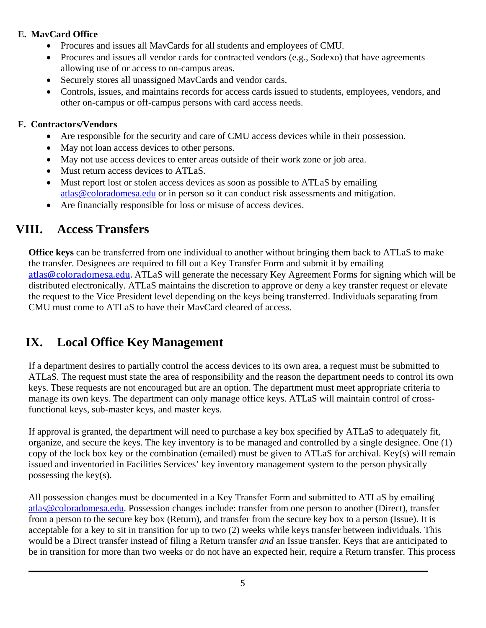### **E. MavCard Office**

- Procures and issues all MavCards for all students and employees of CMU.
- Procures and issues all vendor cards for contracted vendors (e.g., Sodexo) that have agreements allowing use of or access to on-campus areas.
- Securely stores all unassigned MavCards and vendor cards.
- Controls, issues, and maintains records for access cards issued to students, employees, vendors, and other on-campus or off-campus persons with card access needs.

### **F. Contractors/Vendors**

- Are responsible for the security and care of CMU access devices while in their possession.
- May not loan access devices to other persons.
- May not use access devices to enter areas outside of their work zone or job area.
- Must return access devices to ATLaS.
- Must report lost or stolen access devices as soon as possible to ATLaS by emailing atlas@coloradomesa.edu or in person so it can conduct risk assessments and mitigation.
- Are financially responsible for loss or misuse of access devices.

## **VIII. Access Transfers**

**Office keys** can be transferred from one individual to another without bringing them back to ATLaS to make the transfer. Designees are required to fill out a Key Transfer Form and submit it by emailing atlas@coloradomesa.edu. ATLaS will generate the necessary Key Agreement Forms for signing which will be distributed electronically. ATLaS maintains the discretion to approve or deny a key transfer request or elevate the request to the Vice President level depending on the keys being transferred. Individuals separating from CMU must come to ATLaS to have their MavCard cleared of access.

## **IX. Local Office Key Management**

If a department desires to partially control the access devices to its own area, a request must be submitted to ATLaS. The request must state the area of responsibility and the reason the department needs to control its own keys. These requests are not encouraged but are an option. The department must meet appropriate criteria to manage its own keys. The department can only manage office keys. ATLaS will maintain control of crossfunctional keys, sub-master keys, and master keys.

If approval is granted, the department will need to purchase a key box specified by ATLaS to adequately fit, organize, and secure the keys. The key inventory is to be managed and controlled by a single designee. One (1) copy of the lock box key or the combination (emailed) must be given to ATLaS for archival. Key(s) will remain issued and inventoried in Facilities Services' key inventory management system to the person physically possessing the key(s).

All possession changes must be documented in a Key Transfer Form and submitted to ATLaS by emailing atlas@coloradomesa.edu. Possession changes include: transfer from one person to another (Direct), transfer from a person to the secure key box (Return), and transfer from the secure key box to a person (Issue). It is acceptable for a key to sit in transition for up to two (2) weeks while keys transfer between individuals. This would be a Direct transfer instead of filing a Return transfer *and* an Issue transfer. Keys that are anticipated to be in transition for more than two weeks or do not have an expected heir, require a Return transfer. This process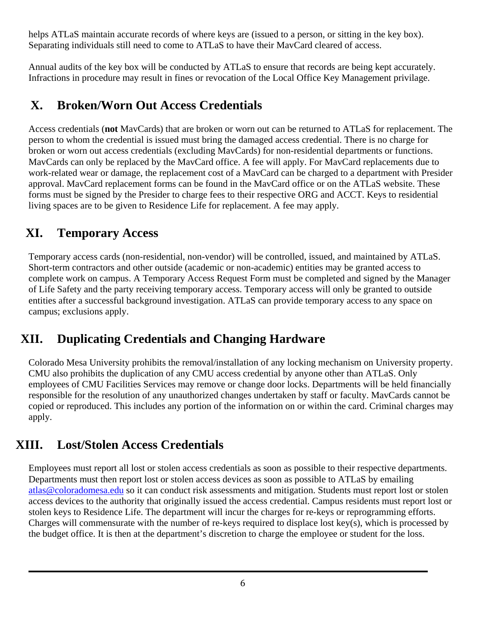helps ATLaS maintain accurate records of where keys are (issued to a person, or sitting in the key box). Separating individuals still need to come to ATLaS to have their MavCard cleared of access.

Annual audits of the key box will be conducted by ATLaS to ensure that records are being kept accurately. Infractions in procedure may result in fines or revocation of the Local Office Key Management privilage.

## **X. Broken/Worn Out Access Credentials**

Access credentials (**not** MavCards) that are broken or worn out can be returned to ATLaS for replacement. The person to whom the credential is issued must bring the damaged access credential. There is no charge for broken or worn out access credentials (excluding MavCards) for non-residential departments or functions. MavCards can only be replaced by the MavCard office. A fee will apply. For MavCard replacements due to work-related wear or damage, the replacement cost of a MavCard can be charged to a department with Presider approval. MavCard replacement forms can be found in the MavCard office or on the ATLaS website. These forms must be signed by the Presider to charge fees to their respective ORG and ACCT. Keys to residential living spaces are to be given to Residence Life for replacement. A fee may apply.

## **XI. Temporary Access**

Temporary access cards (non-residential, non-vendor) will be controlled, issued, and maintained by ATLaS. Short-term contractors and other outside (academic or non-academic) entities may be granted access to complete work on campus. A Temporary Access Request Form must be completed and signed by the Manager of Life Safety and the party receiving temporary access. Temporary access will only be granted to outside entities after a successful background investigation. ATLaS can provide temporary access to any space on campus; exclusions apply.

## **XII. Duplicating Credentials and Changing Hardware**

Colorado Mesa University prohibits the removal/installation of any locking mechanism on University property. CMU also prohibits the duplication of any CMU access credential by anyone other than ATLaS. Only employees of CMU Facilities Services may remove or change door locks. Departments will be held financially responsible for the resolution of any unauthorized changes undertaken by staff or faculty. MavCards cannot be copied or reproduced. This includes any portion of the information on or within the card. Criminal charges may apply.

### **XIII. Lost/Stolen Access Credentials**

Employees must report all lost or stolen access credentials as soon as possible to their respective departments. Departments must then report lost or stolen access devices as soon as possible to ATLaS by emailing atlas@coloradomesa.edu so it can conduct risk assessments and mitigation. Students must report lost or stolen access devices to the authority that originally issued the access credential. Campus residents must report lost or stolen keys to Residence Life. The department will incur the charges for re-keys or reprogramming efforts. Charges will commensurate with the number of re-keys required to displace lost key(s), which is processed by the budget office. It is then at the department's discretion to charge the employee or student for the loss.